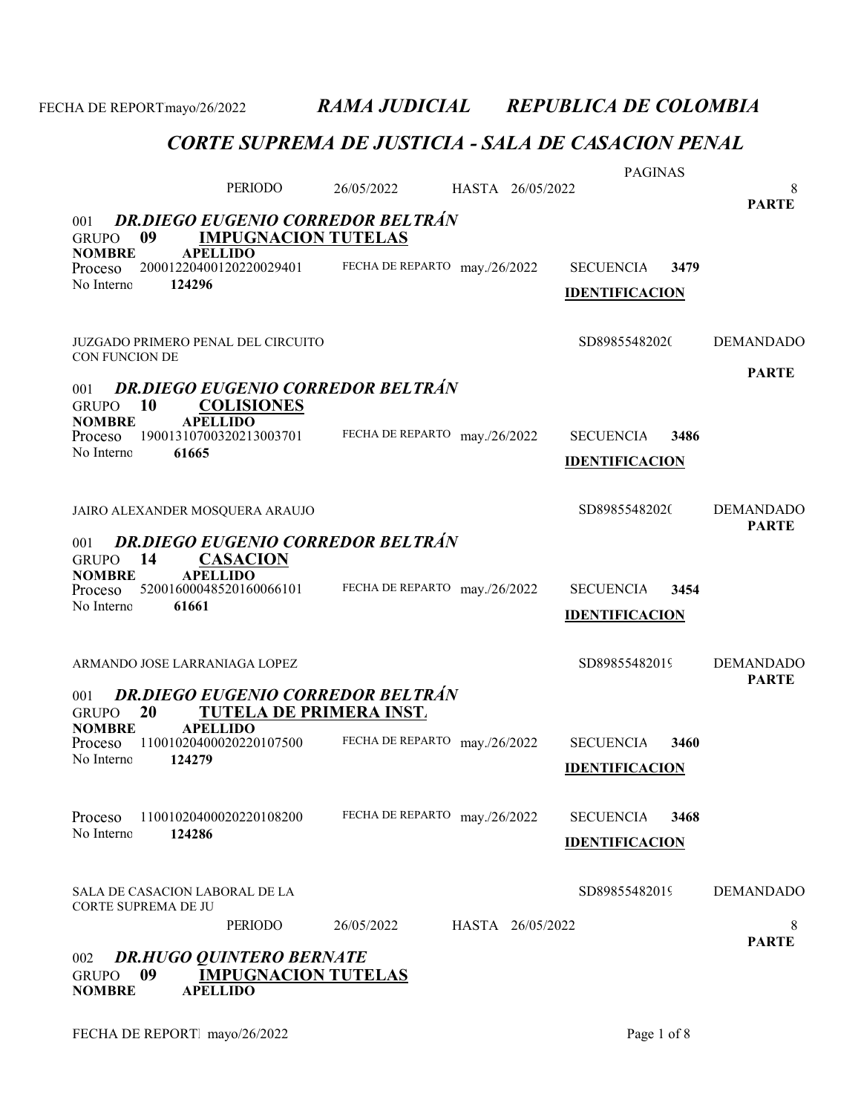### CORTE SUPREMA DE JUSTICIA - SALA DE CASACION PENAL

|                                                             |                                                               |                               |                  | <b>PAGINAS</b>        |                                  |
|-------------------------------------------------------------|---------------------------------------------------------------|-------------------------------|------------------|-----------------------|----------------------------------|
|                                                             | <b>PERIODO</b>                                                | 26/05/2022                    | HASTA 26/05/2022 |                       | 8<br><b>PARTE</b>                |
| 001                                                         | <b>DR.DIEGO EUGENIO CORREDOR BELTRÁN</b>                      |                               |                  |                       |                                  |
| 09<br><b>GRUPO</b>                                          | <b>IMPUGNACION TUTELAS</b>                                    |                               |                  |                       |                                  |
| <b>NOMBRE</b><br>Proceso                                    | <b>APELLIDO</b><br>20001220400120220029401                    | FECHA DE REPARTO may./26/2022 |                  | <b>SECUENCIA</b>      | 3479                             |
| No Interno<br>124296                                        |                                                               |                               |                  | <b>IDENTIFICACION</b> |                                  |
|                                                             |                                                               |                               |                  |                       |                                  |
| JUZGADO PRIMERO PENAL DEL CIRCUITO<br><b>CON FUNCION DE</b> |                                                               |                               |                  | SD89855482020         | <b>DEMANDADO</b>                 |
|                                                             |                                                               |                               |                  |                       | <b>PARTE</b>                     |
| 001<br><b>10</b><br><b>GRUPO</b>                            | <b>DR.DIEGO EUGENIO CORREDOR BELTRÁN</b><br><b>COLISIONES</b> |                               |                  |                       |                                  |
| <b>NOMBRE</b><br>Proceso                                    | <b>APELLIDO</b><br>19001310700320213003701                    | FECHA DE REPARTO may./26/2022 |                  | <b>SECUENCIA</b>      | 3486                             |
| No Interno<br>61665                                         |                                                               |                               |                  | <b>IDENTIFICACION</b> |                                  |
|                                                             |                                                               |                               |                  |                       |                                  |
| JAIRO ALEXANDER MOSQUERA ARAUJO                             |                                                               |                               |                  | SD89855482020         | <b>DEMANDADO</b>                 |
|                                                             |                                                               |                               |                  |                       | <b>PARTE</b>                     |
| 001<br>14<br><b>GRUPO</b>                                   | <b>DR.DIEGO EUGENIO CORREDOR BELTRÁN</b><br><b>CASACION</b>   |                               |                  |                       |                                  |
| <b>NOMBRE</b>                                               | <b>APELLIDO</b>                                               |                               |                  |                       |                                  |
| Proceso<br>No Interno<br>61661                              | 52001600048520160066101                                       | FECHA DE REPARTO may./26/2022 |                  | <b>SECUENCIA</b>      | 3454                             |
|                                                             |                                                               |                               |                  | <b>IDENTIFICACION</b> |                                  |
|                                                             |                                                               |                               |                  |                       |                                  |
| ARMANDO JOSE LARRANIAGA LOPEZ                               |                                                               |                               |                  | SD89855482019         | <b>DEMANDADO</b><br><b>PARTE</b> |
| 001                                                         | <b>DR.DIEGO EUGENIO CORREDOR BELTRÁN</b>                      |                               |                  |                       |                                  |
| 20<br><b>GRUPO</b>                                          | <b>TUTELA DE PRIMERA INST.</b><br><b>APELLIDO</b>             |                               |                  |                       |                                  |
| <b>NOMBRE</b><br>Proceso                                    | 11001020400020220107500                                       | FECHA DE REPARTO may./26/2022 |                  | <b>SECUENCIA</b>      | 3460                             |
| No Interno<br>124279                                        |                                                               |                               |                  | <b>IDENTIFICACION</b> |                                  |
|                                                             |                                                               |                               |                  |                       |                                  |
| Proceso                                                     | 11001020400020220108200                                       | FECHA DE REPARTO may./26/2022 |                  | <b>SECUENCIA</b>      | 3468                             |
| No Interno<br>124286                                        |                                                               |                               |                  | <b>IDENTIFICACION</b> |                                  |
|                                                             |                                                               |                               |                  |                       |                                  |
| SALA DE CASACION LABORAL DE LA                              |                                                               |                               |                  | SD89855482019         | <b>DEMANDADO</b>                 |
| CORTE SUPREMA DE JU                                         | PERIODO                                                       | 26/05/2022                    | HASTA 26/05/2022 |                       | 8                                |
|                                                             |                                                               |                               |                  |                       | <b>PARTE</b>                     |
| 002                                                         | <b>DR.HUGO QUINTERO BERNATE</b>                               |                               |                  |                       |                                  |
| 09<br><b>GRUPO</b>                                          | <b>IMPUGNACION TUTELAS</b>                                    |                               |                  |                       |                                  |

NOMBRE APELLIDO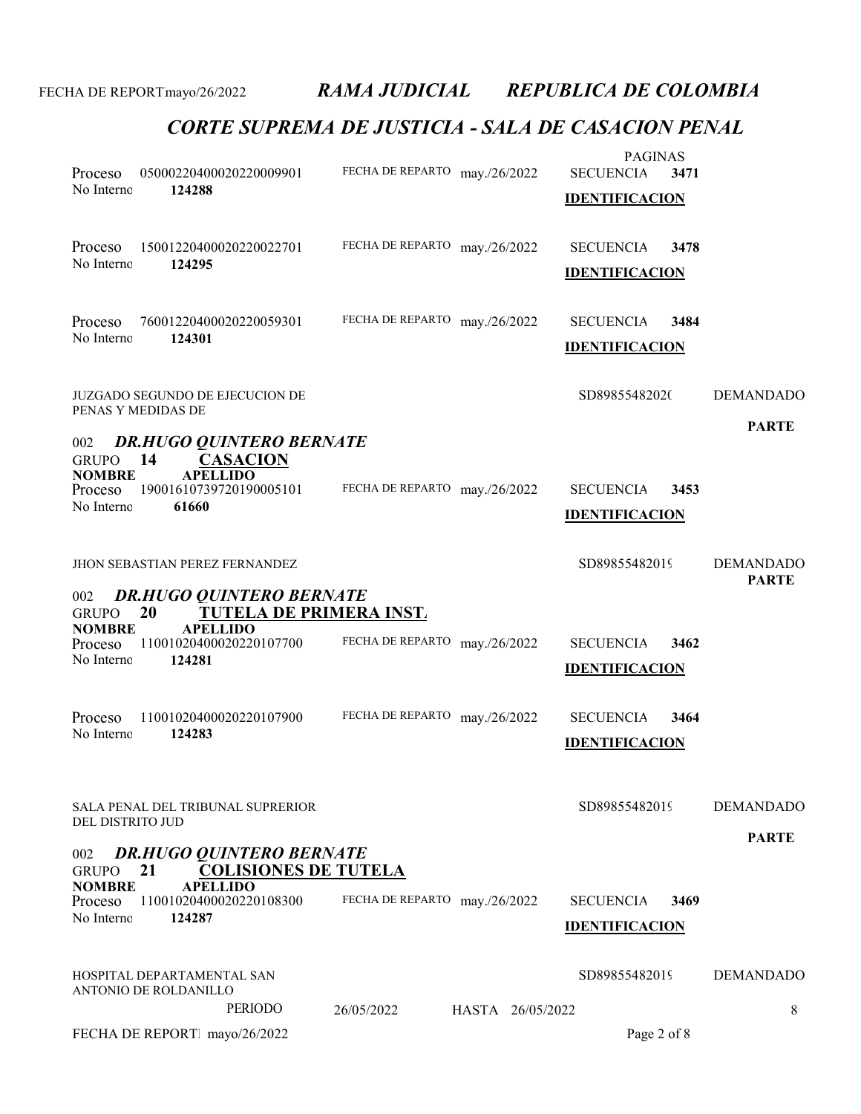|                                        |                                                                         |                                | <b>PAGINAS</b>           |                                  |
|----------------------------------------|-------------------------------------------------------------------------|--------------------------------|--------------------------|----------------------------------|
| Proceso                                | 05000220400020220009901                                                 | FECHA DE REPARTO may./26/2022  | <b>SECUENCIA</b><br>3471 |                                  |
| No Interno                             | 124288                                                                  |                                | <b>IDENTIFICACION</b>    |                                  |
| Proceso                                | 15001220400020220022701                                                 | FECHA DE REPARTO may./26/2022  | <b>SECUENCIA</b><br>3478 |                                  |
| No Interno                             | 124295                                                                  |                                | <b>IDENTIFICACION</b>    |                                  |
| Proceso                                | 76001220400020220059301                                                 | FECHA DE REPARTO may./26/2022  | <b>SECUENCIA</b><br>3484 |                                  |
| No Interno                             | 124301                                                                  |                                | <b>IDENTIFICACION</b>    |                                  |
|                                        | JUZGADO SEGUNDO DE EJECUCION DE<br>PENAS Y MEDIDAS DE                   |                                | SD89855482020            | <b>DEMANDADO</b>                 |
| 002<br><b>GRUPO</b>                    | <b>DR.HUGO QUINTERO BERNATE</b><br><b>CASACION</b><br>14                |                                |                          | <b>PARTE</b>                     |
| <b>NOMBRE</b><br>Proceso               | <b>APELLIDO</b><br>19001610739720190005101                              | FECHA DE REPARTO may./26/2022  | <b>SECUENCIA</b><br>3453 |                                  |
| No Interno                             | 61660                                                                   |                                | <b>IDENTIFICACION</b>    |                                  |
|                                        | <b>JHON SEBASTIAN PEREZ FERNANDEZ</b>                                   |                                | SD89855482019            | <b>DEMANDADO</b><br><b>PARTE</b> |
| 002<br><b>GRUPO</b>                    | <b>DR.HUGO QUINTERO BERNATE</b><br>20<br><b>TUTELA DE PRIMERA INST.</b> |                                |                          |                                  |
| <b>NOMBRE</b><br>Proceso<br>No Interno | <b>APELLIDO</b><br>11001020400020220107700<br>124281                    | FECHA DE REPARTO may./26/2022  | <b>SECUENCIA</b><br>3462 |                                  |
|                                        |                                                                         |                                | <b>IDENTIFICACION</b>    |                                  |
| Proceso                                | 11001020400020220107900                                                 | FECHA DE REPARTO may./26/2022  | <b>SECUENCIA</b><br>3464 |                                  |
| No Interno                             | 124283                                                                  |                                | <b>IDENTIFICACION</b>    |                                  |
|                                        | SALA PENAL DEL TRIBUNAL SUPRERIOR                                       |                                | SD89855482019            | <b>DEMANDADO</b>                 |
| DEL DISTRITO JUD                       |                                                                         |                                |                          | <b>PARTE</b>                     |
| 002<br><b>GRUPO</b>                    | <b>DR.HUGO QUINTERO BERNATE</b><br><b>COLISIONES DE TUTELA</b><br>21    |                                |                          |                                  |
| <b>NOMBRE</b><br>Proceso               | <b>APELLIDO</b><br>11001020400020220108300                              | FECHA DE REPARTO may./26/2022  | <b>SECUENCIA</b><br>3469 |                                  |
| No Interno                             | 124287                                                                  |                                | <b>IDENTIFICACION</b>    |                                  |
|                                        | HOSPITAL DEPARTAMENTAL SAN<br>ANTONIO DE ROLDANILLO                     |                                | SD89855482019            | <b>DEMANDADO</b>                 |
|                                        | <b>PERIODO</b>                                                          | 26/05/2022<br>HASTA 26/05/2022 |                          | 8                                |
|                                        | FECHA DE REPORT mayo/26/2022                                            |                                | Page 2 of 8              |                                  |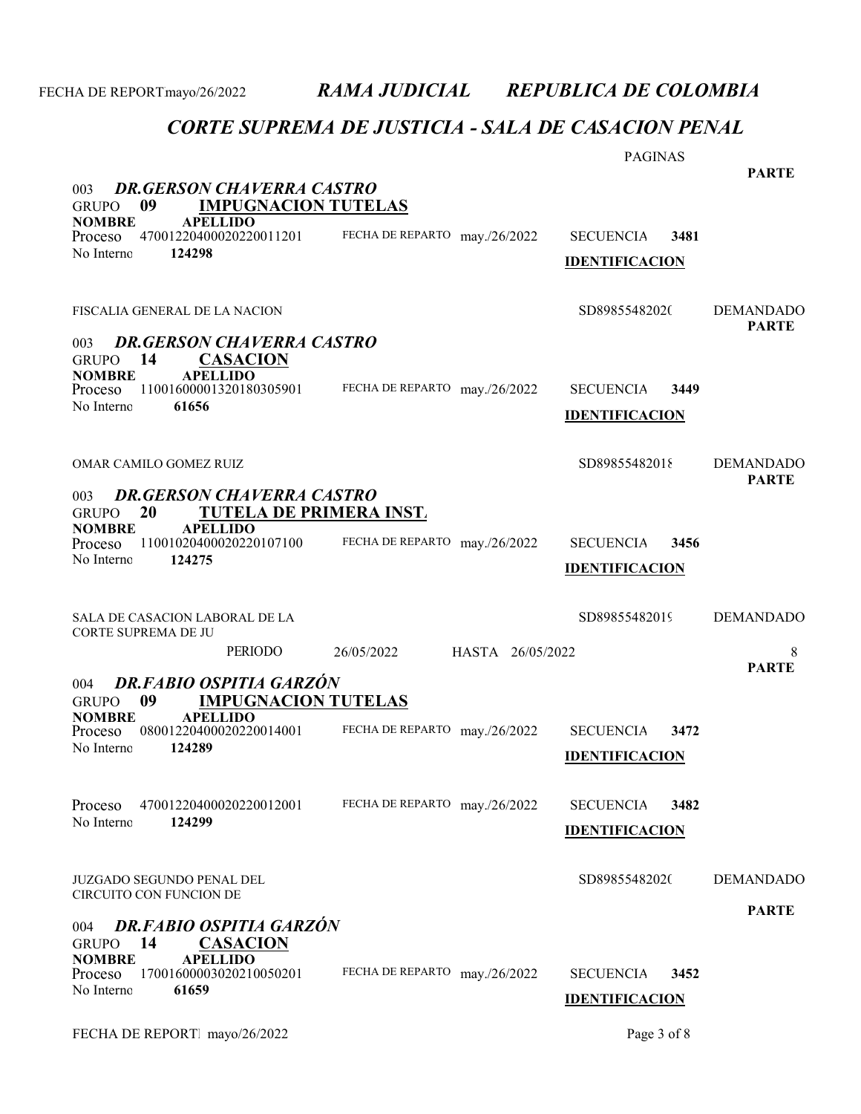|                                                                                                |                                | <b>PAGINAS</b>                                    | <b>PARTE</b>                     |
|------------------------------------------------------------------------------------------------|--------------------------------|---------------------------------------------------|----------------------------------|
| <b>DR.GERSON CHAVERRA CASTRO</b><br>003<br>09<br><b>IMPUGNACION TUTELAS</b><br><b>GRUPO</b>    |                                |                                                   |                                  |
| <b>APELLIDO</b><br><b>NOMBRE</b><br>47001220400020220011201<br>Proceso<br>No Interno<br>124298 | FECHA DE REPARTO may./26/2022  | <b>SECUENCIA</b><br>3481<br><b>IDENTIFICACION</b> |                                  |
| FISCALIA GENERAL DE LA NACION                                                                  |                                | SD89855482020                                     | <b>DEMANDADO</b><br><b>PARTE</b> |
| <b>DR.GERSON CHAVERRA CASTRO</b><br>003<br>14<br><u>CASACION</u><br><b>GRUPO</b>               |                                |                                                   |                                  |
| <b>NOMBRE</b><br><b>APELLIDO</b><br>11001600001320180305901<br>Proceso<br>No Interno<br>61656  | FECHA DE REPARTO may./26/2022  | <b>SECUENCIA</b><br>3449<br><b>IDENTIFICACION</b> |                                  |
| OMAR CAMILO GOMEZ RUIZ                                                                         |                                | SD89855482018                                     | <b>DEMANDADO</b><br><b>PARTE</b> |
| <b>DR.GERSON CHAVERRA CASTRO</b><br>003<br>20<br>TUTELA DE PRIMERA INST.<br><b>GRUPO</b>       |                                |                                                   |                                  |
| <b>NOMBRE</b><br><b>APELLIDO</b><br>11001020400020220107100<br>Proceso<br>No Interno<br>124275 | FECHA DE REPARTO may./26/2022  | <b>SECUENCIA</b><br>3456<br><b>IDENTIFICACION</b> |                                  |
| SALA DE CASACION LABORAL DE LA<br>CORTE SUPREMA DE JU                                          |                                | SD89855482019                                     | <b>DEMANDADO</b>                 |
| <b>PERIODO</b>                                                                                 | HASTA 26/05/2022<br>26/05/2022 |                                                   | 8<br><b>PARTE</b>                |
| DR.FABIO OSPITIA GARZÓN<br>004<br>09<br><b>IMPUGNACION TUTELAS</b><br><b>GRUPO</b>             |                                |                                                   |                                  |
| <b>NOMBRE</b><br><b>APELLIDO</b><br>08001220400020220014001<br>Proceso<br>124289<br>No Interno | FECHA DE REPARTO may./26/2022  | <b>SECUENCIA</b><br>3472<br><b>IDENTIFICACION</b> |                                  |
| Proceso<br>47001220400020220012001<br>No Interno<br>124299                                     | FECHA DE REPARTO may./26/2022  | <b>SECUENCIA</b><br>3482<br><b>IDENTIFICACION</b> |                                  |
| JUZGADO SEGUNDO PENAL DEL<br>CIRCUITO CON FUNCION DE                                           |                                | SD89855482020                                     | <b>DEMANDADO</b>                 |
| <b>DR.FABIO OSPITIA GARZÓN</b><br>004<br>14<br><u>CASACION</u><br><b>GRUPO</b>                 |                                |                                                   | <b>PARTE</b>                     |
| <b>APELLIDO</b><br><b>NOMBRE</b><br>17001600003020210050201<br>Proceso<br>No Interno<br>61659  | FECHA DE REPARTO may./26/2022  | <b>SECUENCIA</b><br>3452<br><b>IDENTIFICACION</b> |                                  |
|                                                                                                |                                |                                                   |                                  |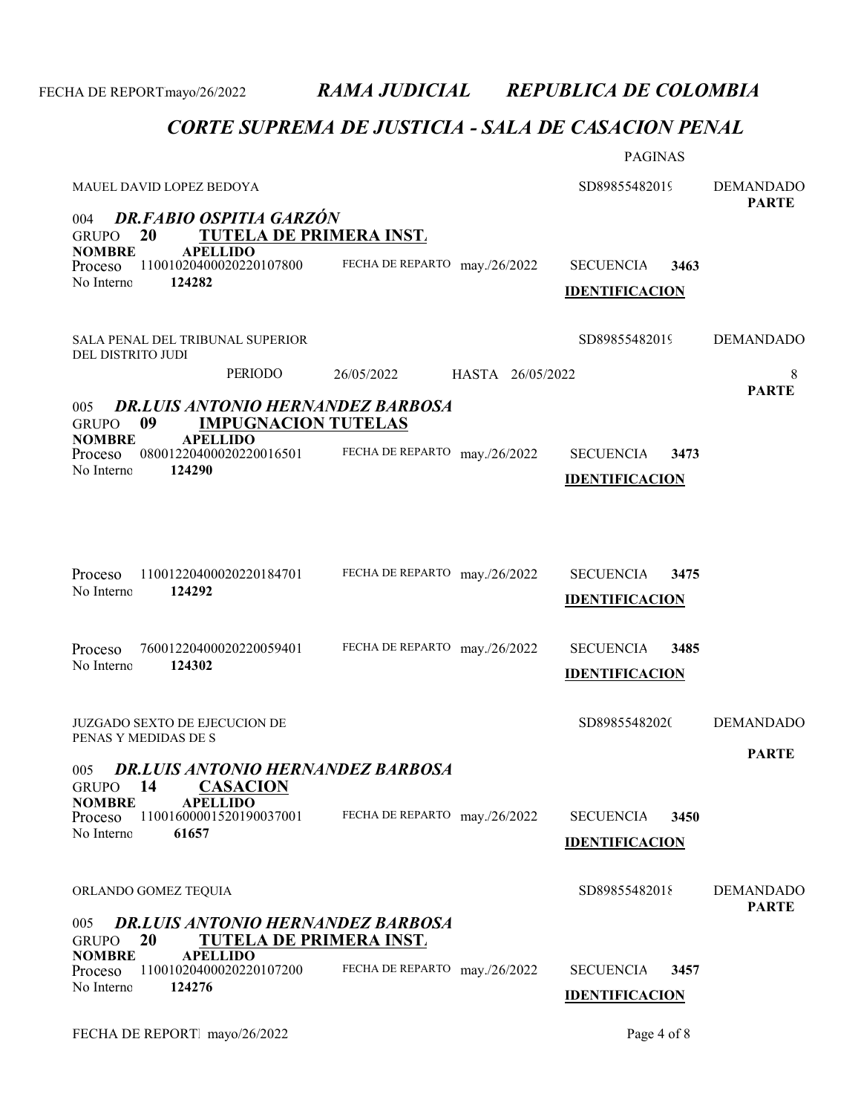| MAUEL DAVID LOPEZ BEDOYA                                                                                                                    |                                | <b>PAGINAS</b><br>SD89855482019                   | <b>DEMANDADO</b>                 |
|---------------------------------------------------------------------------------------------------------------------------------------------|--------------------------------|---------------------------------------------------|----------------------------------|
| <b>DR.FABIO OSPITIA GARZÓN</b><br>004<br>20<br><b>TUTELA DE PRIMERA INST.</b><br><b>GRUPO</b>                                               |                                |                                                   | <b>PARTE</b>                     |
| <b>NOMBRE</b><br><b>APELLIDO</b><br>11001020400020220107800<br>Proceso<br>No Interno<br>124282                                              | FECHA DE REPARTO may./26/2022  | <b>SECUENCIA</b><br>3463<br><b>IDENTIFICACION</b> |                                  |
| SALA PENAL DEL TRIBUNAL SUPERIOR<br>DEL DISTRITO JUDI                                                                                       |                                | SD89855482019                                     | <b>DEMANDADO</b>                 |
| PERIODO                                                                                                                                     | 26/05/2022<br>HASTA 26/05/2022 |                                                   | 8<br><b>PARTE</b>                |
| <b>DR.LUIS ANTONIO HERNANDEZ BARBOSA</b><br>005<br><b>IMPUGNACION TUTELAS</b><br>09<br><b>GRUPO</b>                                         |                                |                                                   |                                  |
| <b>APELLIDO</b><br><b>NOMBRE</b><br>08001220400020220016501<br>Proceso<br>No Interno<br>124290                                              | FECHA DE REPARTO may./26/2022  | <b>SECUENCIA</b><br>3473<br><b>IDENTIFICACION</b> |                                  |
| Proceso<br>11001220400020220184701<br>No Interno<br>124292                                                                                  | FECHA DE REPARTO may./26/2022  | <b>SECUENCIA</b><br>3475<br><b>IDENTIFICACION</b> |                                  |
| 76001220400020220059401<br>Proceso<br>No Interno<br>124302                                                                                  | FECHA DE REPARTO may./26/2022  | <b>SECUENCIA</b><br>3485<br><b>IDENTIFICACION</b> |                                  |
| <b>JUZGADO SEXTO DE EJECUCION DE</b><br>PENAS Y MEDIDAS DE S                                                                                |                                | SD89855482020                                     | <b>DEMANDADO</b><br><b>PARTE</b> |
| 005 DR.LUIS ANTONIO HERNANDEZ BARBOSA<br><b>CASACION</b><br>14<br><b>GRUPO</b>                                                              |                                |                                                   |                                  |
| <b>NOMBRE</b><br><b>APELLIDO</b><br>11001600001520190037001<br>Proceso<br>No Interno<br>61657                                               | FECHA DE REPARTO may./26/2022  | <b>SECUENCIA</b><br>3450<br><b>IDENTIFICACION</b> |                                  |
| ORLANDO GOMEZ TEQUIA                                                                                                                        |                                | SD89855482018                                     | <b>DEMANDADO</b>                 |
| <b>DR.LUIS ANTONIO HERNANDEZ BARBOSA</b><br>005<br>20<br><b>TUTELA DE PRIMERA INST.</b><br><b>GRUPO</b><br><b>NOMBRE</b><br><b>APELLIDO</b> |                                |                                                   | <b>PARTE</b>                     |
| 11001020400020220107200<br>Proceso<br>124276<br>No Interno                                                                                  | FECHA DE REPARTO may./26/2022  | <b>SECUENCIA</b><br>3457<br><b>IDENTIFICACION</b> |                                  |
| FECHA DE REPORT mayo/26/2022                                                                                                                |                                | Page 4 of 8                                       |                                  |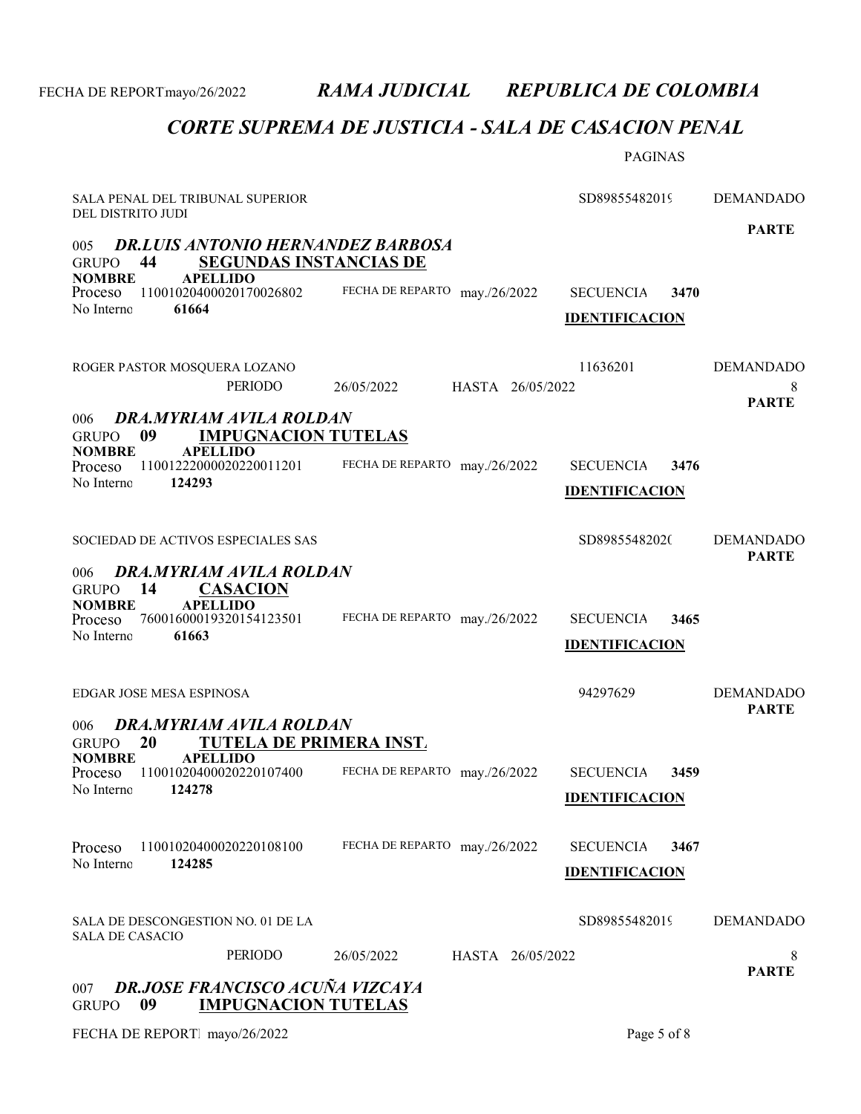## CORTE SUPREMA DE JUSTICIA - SALA DE CASACION PENAL

|                                                                                                                                                                |                                | <b>PAGINAS</b>                                    |                                  |
|----------------------------------------------------------------------------------------------------------------------------------------------------------------|--------------------------------|---------------------------------------------------|----------------------------------|
| SALA PENAL DEL TRIBUNAL SUPERIOR<br>DEL DISTRITO JUDI                                                                                                          |                                | SD89855482019                                     | <b>DEMANDADO</b>                 |
| <b>DR.LUIS ANTONIO HERNANDEZ BARBOSA</b><br>005<br>44<br><b>SEGUNDAS INSTANCIAS DE</b><br>GRUPO                                                                |                                |                                                   | <b>PARTE</b>                     |
| <b>NOMBRE</b><br><b>APELLIDO</b><br>11001020400020170026802<br>Proceso<br>No Interno<br>61664                                                                  | FECHA DE REPARTO may./26/2022  | <b>SECUENCIA</b><br>3470<br><b>IDENTIFICACION</b> |                                  |
| ROGER PASTOR MOSQUERA LOZANO<br><b>PERIODO</b>                                                                                                                 | 26/05/2022<br>HASTA 26/05/2022 | 11636201                                          | <b>DEMANDADO</b><br>8            |
| DRA.MYRIAM AVILA ROLDAN<br>006<br>09<br><b>IMPUGNACION TUTELAS</b><br><b>GRUPO</b>                                                                             |                                |                                                   | <b>PARTE</b>                     |
| <b>NOMBRE</b><br><b>APELLIDO</b><br>11001222000020220011201<br>Proceso<br>No Interno<br>124293                                                                 | FECHA DE REPARTO may./26/2022  | <b>SECUENCIA</b><br>3476<br><b>IDENTIFICACION</b> |                                  |
| SOCIEDAD DE ACTIVOS ESPECIALES SAS                                                                                                                             |                                | SD89855482020                                     | <b>DEMANDADO</b><br><b>PARTE</b> |
| DRA.MYRIAM AVILA ROLDAN<br>006<br>GRUPO 14<br><b>CASACION</b><br><b>APELLIDO</b><br><b>NOMBRE</b><br>76001600019320154123501<br>Proceso<br>No Interno<br>61663 | FECHA DE REPARTO may./26/2022  | <b>SECUENCIA</b><br>3465<br><b>IDENTIFICACION</b> |                                  |
| EDGAR JOSE MESA ESPINOSA                                                                                                                                       |                                | 94297629                                          | <b>DEMANDADO</b><br><b>PARTE</b> |
| DRA.MYRIAM AVILA ROLDAN<br>006<br>TUTELA DE PRIMERA INST.<br><b>20</b><br>GRUPO<br><b>APELLIDO</b><br><b>NOMBRE</b>                                            |                                |                                                   |                                  |
| 11001020400020220107400<br>Proceso<br>No Interno<br>124278                                                                                                     | FECHA DE REPARTO may./26/2022  | <b>SECUENCIA</b><br>3459<br><b>IDENTIFICACION</b> |                                  |
| 11001020400020220108100<br>Proceso<br>No Interno<br>124285                                                                                                     | FECHA DE REPARTO may./26/2022  | <b>SECUENCIA</b><br>3467<br><b>IDENTIFICACION</b> |                                  |
| SALA DE DESCONGESTION NO. 01 DE LA<br><b>SALA DE CASACIO</b>                                                                                                   |                                | SD89855482019                                     | <b>DEMANDADO</b>                 |
| <b>PERIODO</b>                                                                                                                                                 | 26/05/2022<br>HASTA 26/05/2022 |                                                   | 8<br><b>PARTE</b>                |
| DR.JOSE FRANCISCO ACUÑA VIZCAYA<br>007<br><b>IMPUGNACION TUTELAS</b><br>09<br><b>GRUPO</b>                                                                     |                                |                                                   |                                  |

FECHA DE REPORT. mayo/26/2022 Page 5 of 8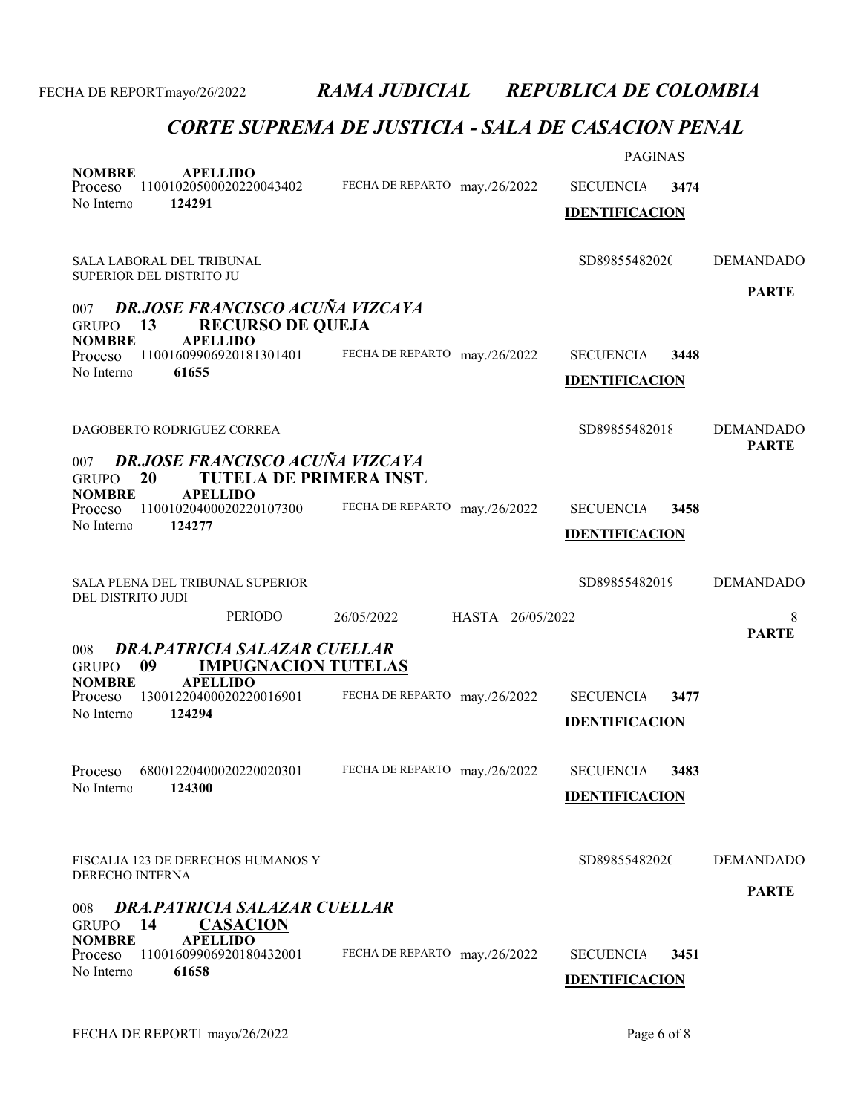| <b>NOMBRE</b><br><b>APELLIDO</b><br>11001020500020220043402<br>Proceso<br>No Interno<br>124291                                                                                                                                                           | FECHA DE REPARTO may./26/2022  | <b>PAGINAS</b><br><b>SECUENCIA</b><br>3474<br><b>IDENTIFICACION</b> |                                       |
|----------------------------------------------------------------------------------------------------------------------------------------------------------------------------------------------------------------------------------------------------------|--------------------------------|---------------------------------------------------------------------|---------------------------------------|
| SALA LABORAL DEL TRIBUNAL<br>SUPERIOR DEL DISTRITO JU<br><b>DR.JOSE FRANCISCO ACUÑA VIZCAYA</b><br>007<br>13<br><b>RECURSO DE QUEJA</b><br><b>GRUPO</b><br><b>NOMBRE</b><br><b>APELLIDO</b><br>11001609906920181301401<br>Proceso<br>No Interno<br>61655 | FECHA DE REPARTO may./26/2022  | SD89855482020<br><b>SECUENCIA</b><br>3448<br><b>IDENTIFICACION</b>  | <b>DEMANDADO</b><br><b>PARTE</b>      |
| DAGOBERTO RODRIGUEZ CORREA<br><b>DR.JOSE FRANCISCO ACUÑA VIZCAYA</b><br>007<br><b>TUTELA DE PRIMERA INST.</b><br>20<br><b>GRUPO</b><br><b>NOMBRE</b><br><b>APELLIDO</b><br>11001020400020220107300<br>Proceso<br>No Interno<br>124277                    | FECHA DE REPARTO may./26/2022  | SD89855482018<br><b>SECUENCIA</b><br>3458<br><b>IDENTIFICACION</b>  | <b>DEMANDADO</b><br><b>PARTE</b>      |
| SALA PLENA DEL TRIBUNAL SUPERIOR<br>DEL DISTRITO JUDI<br><b>PERIODO</b><br><b>DRA, PATRICIA SALAZAR CUELLAR</b><br>008<br>09<br><b>IMPUGNACION TUTELAS</b><br><b>GRUPO</b>                                                                               | HASTA 26/05/2022<br>26/05/2022 | SD89855482019                                                       | <b>DEMANDADO</b><br>8<br><b>PARTE</b> |
| <b>APELLIDO</b><br><b>NOMBRE</b><br>13001220400020220016901<br>Proceso<br>No Interno<br>124294                                                                                                                                                           | FECHA DE REPARTO may./26/2022  | <b>SECUENCIA</b><br>3477<br><b>IDENTIFICACION</b>                   |                                       |
| Proceso 68001220400020220020301 FECHA DE REPARTO may./26/2022<br>No Interno<br>124300                                                                                                                                                                    |                                | SECUENCIA 3483<br><b>IDENTIFICACION</b>                             |                                       |
| FISCALIA 123 DE DERECHOS HUMANOS Y<br><b>DERECHO INTERNA</b><br>DRA.PATRICIA SALAZAR CUELLAR<br>008<br>14<br><b>CASACION</b><br><b>GRUPO</b><br><b>NOMBRE</b><br><b>APELLIDO</b>                                                                         |                                | SD89855482020                                                       | <b>DEMANDADO</b><br><b>PARTE</b>      |
| 11001609906920180432001<br>Proceso<br>No Interno<br>61658                                                                                                                                                                                                | FECHA DE REPARTO may./26/2022  | <b>SECUENCIA</b><br>3451<br><b>IDENTIFICACION</b>                   |                                       |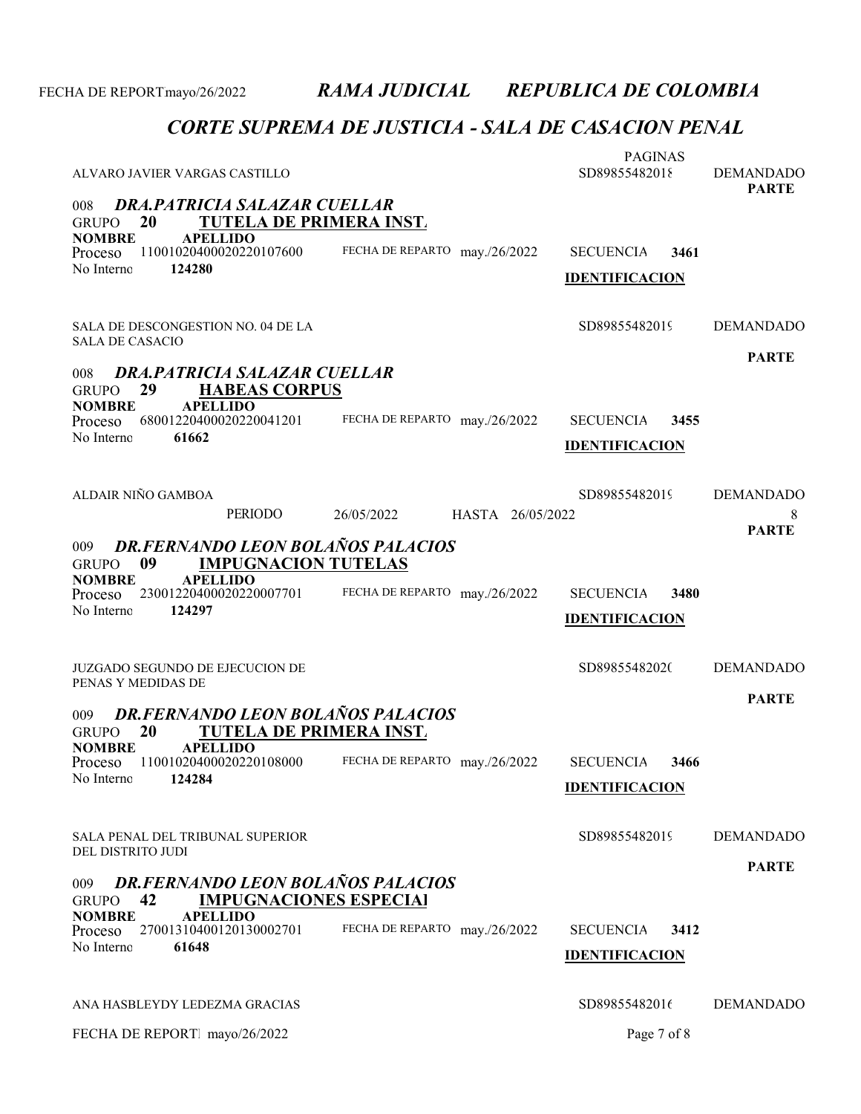| ALVARO JAVIER VARGAS CASTILLO<br>DRA.PATRICIA SALAZAR CUELLAR<br>008                                                                                                                                      |                                  | <b>PAGINAS</b><br>SD89855482018                   | <b>DEMANDADO</b><br><b>PARTE</b>      |
|-----------------------------------------------------------------------------------------------------------------------------------------------------------------------------------------------------------|----------------------------------|---------------------------------------------------|---------------------------------------|
| <b>TUTELA DE PRIMERA INST.</b><br>20<br><b>GRUPO</b><br><b>NOMBRE</b><br><b>APELLIDO</b><br>11001020400020220107600<br>Proceso<br>No Interno<br>124280                                                    | FECHA DE REPARTO may./26/2022    | <b>SECUENCIA</b><br>3461<br><b>IDENTIFICACION</b> |                                       |
| SALA DE DESCONGESTION NO. 04 DE LA<br><b>SALA DE CASACIO</b><br>DRA.PATRICIA SALAZAR CUELLAR<br>008<br><b>HABEAS CORPUS</b><br>29<br><b>GRUPO</b>                                                         |                                  | SD89855482019                                     | <b>DEMANDADO</b><br><b>PARTE</b>      |
| <b>APELLIDO</b><br><b>NOMBRE</b><br>68001220400020220041201<br>Proceso<br>No Interno<br>61662                                                                                                             | FECHA DE REPARTO may./26/2022    | <b>SECUENCIA</b><br>3455<br><b>IDENTIFICACION</b> |                                       |
| ALDAIR NIÑO GAMBOA<br>PERIODO                                                                                                                                                                             | 26/05/2022<br>HASTA 26/05/2022   | SD89855482019                                     | <b>DEMANDADO</b><br>8<br><b>PARTE</b> |
| <b>DR.FERNANDO LEON BOLAÑOS PALACIOS</b><br>009<br><b>IMPUGNACION TUTELAS</b><br>09<br><b>GRUPO</b><br><b>APELLIDO</b><br><b>NOMBRE</b><br>23001220400020220007701<br>Proceso<br>No Interno<br>124297     | FECHA DE REPARTO may./26/2022    | <b>SECUENCIA</b><br>3480<br><b>IDENTIFICACION</b> |                                       |
| <b>JUZGADO SEGUNDO DE EJECUCION DE</b><br>PENAS Y MEDIDAS DE                                                                                                                                              |                                  | SD89855482020                                     | <b>DEMANDADO</b><br><b>PARTE</b>      |
| <b>DR.FERNANDO LEON BOLAÑOS PALACIOS</b><br>009<br><b>TUTELA DE PRIMERA INST.</b><br>20<br><b>GRUPO</b><br><b>NOMBRE</b><br><b>APELLIDO</b><br>11001020400020220108000<br>Proceso<br>No Interno<br>124284 | FECHA DE REPARTO may./26/2022    | <b>SECUENCIA</b><br>3466<br><b>IDENTIFICACION</b> |                                       |
| <b>SALA PENAL DEL TRIBUNAL SUPERIOR</b><br>DEL DISTRITO JUDI                                                                                                                                              |                                  | SD89855482019                                     | <b>DEMANDADO</b>                      |
| <b>DR.FERNANDO LEON BOLAÑOS PALACIOS</b><br>009<br><b>IMPUGNACIONES ESPECIAI</b><br>42<br><b>GRUPO</b><br><b>NOMBRE</b><br><b>APELLIDO</b><br>27001310400120130002701<br>Proceso<br>No Interno<br>61648   | FECHA DE REPARTO<br>may./26/2022 | 3412<br><b>SECUENCIA</b><br><b>IDENTIFICACION</b> | <b>PARTE</b>                          |
| ANA HASBLEYDY LEDEZMA GRACIAS                                                                                                                                                                             |                                  | SD89855482016                                     | <b>DEMANDADO</b>                      |
| FECHA DE REPORT mayo/26/2022                                                                                                                                                                              |                                  | Page 7 of 8                                       |                                       |